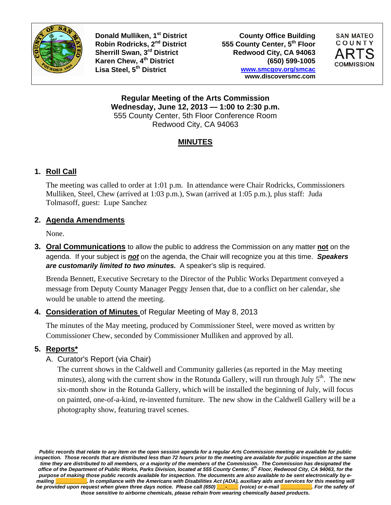

**Donald Mulliken, 1<sup>st</sup> District County Office Building<br>Robin Rodricks, 2<sup>nd</sup> District 555 County Center, 5<sup>th</sup> Floor** 555 County Center, 5<sup>th</sup> Floor Sherrill Swan, 3<sup>rd</sup> District Redwood City, CA 94063 **Karen Chew, 4th District (650) 599-1005 Lisa Steel, 5th District www.smcgov.org/smcac www.discoversmc.com** 



**Regular Meeting of the Arts Commission Wednesday, June 12, 2013 — 1:00 to 2:30 p.m.**  555 County Center, 5th Floor Conference Room Redwood City, CA 94063

# **MINUTES**

# **1. Roll Call**

The meeting was called to order at 1:01 p.m. In attendance were Chair Rodricks, Commissioners Mulliken, Steel, Chew (arrived at 1:03 p.m.), Swan (arrived at 1:05 p.m.), plus staff: Juda Tolmasoff, guest: Lupe Sanchez

## **2. Agenda Amendments**

None.

**3. Oral Communications** to allow the public to address the Commission on any matter **not** on the agenda. If your subject is *not* on the agenda, the Chair will recognize you at this time. *Speakers are customarily limited to two minutes.* A speaker's slip is required.

Brenda Bennett, Executive Secretary to the Director of the Public Works Department conveyed a message from Deputy County Manager Peggy Jensen that, due to a conflict on her calendar, she would be unable to attend the meeting.

## **4. Consideration of Minutes** of Regular Meeting of May 8, 2013

The minutes of the May meeting, produced by Commissioner Steel, were moved as written by Commissioner Chew, seconded by Commissioner Mulliken and approved by all.

## **5. Reports\***

### A. Curator's Report (via Chair)

The current shows in the Caldwell and Community galleries (as reported in the May meeting minutes), along with the current show in the Rotunda Gallery, will run through July  $5<sup>th</sup>$ . The new six-month show in the Rotunda Gallery, which will be installed the beginning of July, will focus on painted, one-of-a-kind, re-invented furniture. The new show in the Caldwell Gallery will be a photography show, featuring travel scenes.

*Public records that relate to any item on the open session agenda for a regular Arts Commission meeting are available for public inspection. Those records that are distributed less than 72 hours prior to the meeting are available for public inspection at the same time they are distributed to all members, or a majority of the members of the Commission. The Commission has designated the office of the Department of Public Works, Parks Division, located at 555 County Center, 5th Floor, Redwood City, CA 94063, for the purpose of making those public records available for inspection. The documents are also available to be sent electronically by emailing \_\_\_\_\_\_\_\_\_\_\_. In compliance with the Americans with Disabilities Act (ADA), auxiliary aids and services for this meeting will be provided upon request when given three days notice. Please call (650) \_\_\_\_\_\_\_ (voice) or e-mail those sensitive to airborne chemicals, please refrain from wearing chemically based products.*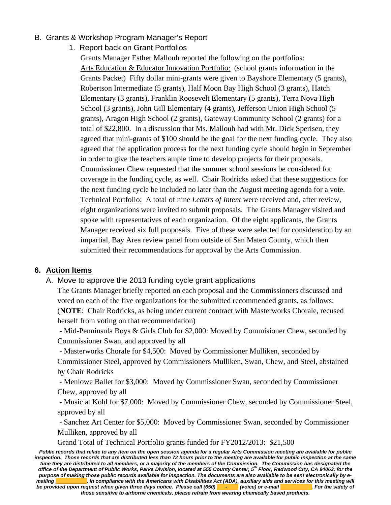#### B. Grants & Workshop Program Manager's Report

1. Report back on Grant Portfolios

 Grants Manager Esther Mallouh reported the following on the portfolios: Arts Education & Educator Innovation Portfolio: (school grants information in the Grants Packet) Fifty dollar mini-grants were given to Bayshore Elementary (5 grants), Robertson Intermediate (5 grants), Half Moon Bay High School (3 grants), Hatch Elementary (3 grants), Franklin Roosevelt Elementary (5 grants), Terra Nova High School (3 grants), John Gill Elementary (4 grants), Jefferson Union High School (5 grants), Aragon High School (2 grants), Gateway Community School (2 grants) for a total of \$22,800. In a discussion that Ms. Mallouh had with Mr. Dick Sperisen, they agreed that mini-grants of \$100 should be the goal for the next funding cycle. They also agreed that the application process for the next funding cycle should begin in September in order to give the teachers ample time to develop projects for their proposals. Commissioner Chew requested that the summer school sessions be considered for coverage in the funding cycle, as well. Chair Rodricks asked that these suggestions for the next funding cycle be included no later than the August meeting agenda for a vote. Technical Portfolio: A total of nine *Letters of Intent* were received and, after review, eight organizations were invited to submit proposals. The Grants Manager visited and spoke with representatives of each organization. Of the eight applicants, the Grants Manager received six full proposals. Five of these were selected for consideration by an impartial, Bay Area review panel from outside of San Mateo County, which then submitted their recommendations for approval by the Arts Commission.

#### **6. Action ltems**

A. Move to approve the 2013 funding cycle grant applications

The Grants Manager briefly reported on each proposal and the Commissioners discussed and voted on each of the five organizations for the submitted recommended grants, as follows: (**NOTE**: Chair Rodricks, as being under current contract with Masterworks Chorale, recused herself from voting on that recommendation)

 - Mid-Penninsula Boys & Girls Club for \$2,000: Moved by Commisioner Chew, seconded by Commissioner Swan, and approved by all

 - Masterworks Chorale for \$4,500: Moved by Commissioner Mulliken, seconded by Commissioner Steel, approved by Commissioners Mulliken, Swan, Chew, and Steel, abstained by Chair Rodricks

 - Menlowe Ballet for \$3,000: Moved by Commissioner Swan, seconded by Commissioner Chew, approved by all

 - Music at Kohl for \$7,000: Moved by Commissioner Chew, seconded by Commissioner Steel, approved by all

 - Sanchez Art Center for \$5,000: Moved by Commissioner Swan, seconded by Commissioner Mulliken, approved by all

Grand Total of Technical Portfolio grants funded for FY2012/2013: \$21,500

*Public records that relate to any item on the open session agenda for a regular Arts Commission meeting are available for public inspection. Those records that are distributed less than 72 hours prior to the meeting are available for public inspection at the same*  time they are distributed to all members, or a majority of the members of the Commission. The Commission has designated the<br>office of the Department of Public Works, Parks Division, located at 555 County Center, 5<sup>th</sup> Floo *purpose of making those public records available for inspection. The documents are also available to be sent electronically by emailing \_\_\_\_\_\_\_\_\_\_\_. In compliance with the Americans with Disabilities Act (ADA), auxiliary aids and services for this meeting will be provided upon request when given three days notice. Please call (650) \_\_\_-\_\_\_\_ (voice) or e-mail \_\_\_\_\_\_\_\_\_\_\_. For the safety of those sensitive to airborne chemicals, please refrain from wearing chemically based products.*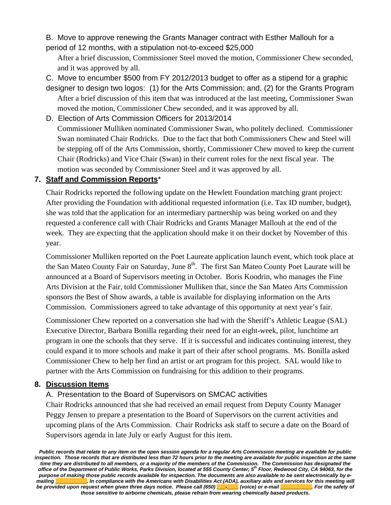B. Move to approve renewing the Grants Manager contract with Esther Mallouh for a period of 12 months, with a stipulation not-to-exceed \$25,000

After a brief discussion, Commissioner Steel moved the motion, Commissioner Chew seconded, and it was approved by all.

C. Move to encumber \$500 from FY 2012/2013 budget to offer as a stipend for a graphic designer to design two logos: (1) for the Arts Commission; and, (2) for the Grants Program After a brief discussion of this item that was introduced at the last meeting, Commissioner Swan moved the motion, Commissioner Chew seconded, and it was approved by all.

D. Election of Arts Commission Officers for 2013/2014 Commissioner Mulliken nominated Commissioner Swan, who politely declined. Commissioner Swan nominated Chair Rodricks. Due to the fact that both Commissioners Chew and Steel will be stepping off of the Arts Commission, shortly, Commissioner Chew moved to keep the current Chair (Rodricks) and Vice Chair (Swan) in their current roles for the next fiscal year. The motion was seconded by Commissioner Steel and it was approved by all.

### **7. Staff and Commission Reports**\*

Chair Rodricks reported the following update on the Hewlett Foundation matching grant project: After providing the Foundation with additional requested information (i.e. Tax ID number, budget), she was told that the application for an intermediary partnership was being worked on and they requested a conference call with Chair Rodricks and Grants Manager Mallouh at the end of the week. They are expecting that the application should make it on their docket by November of this year.

Commissioner Mulliken reported on the Poet Laureate application launch event, which took place at the San Mateo County Fair on Saturday, June 8<sup>th</sup>. The first San Mateo County Poet Laurate will be announced at a Board of Supervisors meeting in October. Boris Koodrin, who manages the Fine Arts Division at the Fair, told Commissioner Mulliken that, since the San Mateo Arts Commission sponsors the Best of Show awards, a table is available for displaying information on the Arts Commission. Commissioners agreed to take advantage of this opportunity at next year's fair.

Commissioner Chew reported on a conversation she had with the Sheriff's Athletic League (SAL) Executive Director, Barbara Bonilla regarding their need for an eight-week, pilot, lunchtime art program in one the schools that they serve. If it is successful and indicates continuing interest, they could expand it to more schools and make it part of their after school programs. Ms. Bonilla asked Commissioner Chew to help her find an artist or art program for this project. SAL would like to partner with the Arts Commission on fundraising for this addition to their programs.

## **8. Discussion Items**

## A. Presentation to the Board of Supervisors on SMCAC activities

Chair Rodricks announced that she had received an email request from Deputy County Manager Peggy Jensen to prepare a presentation to the Board of Supervisors on the current activities and upcoming plans of the Arts Commission. Chair Rodricks ask staff to secure a date on the Board of Supervisors agenda in late July or early August for this item.

*Public records that relate to any item on the open session agenda for a regular Arts Commission meeting are available for public inspection. Those records that are distributed less than 72 hours prior to the meeting are available for public inspection at the same*  time they are distributed to all members, or a majority of the members of the Commission. The Commission has designated the<br>office of the Department of Public Works, Parks Division, located at 555 County Center, 5<sup>th</sup> Floo *purpose of making those public records available for inspection. The documents are also available to be sent electronically by emailing \_\_\_\_\_\_\_\_\_\_\_. In compliance with the Americans with Disabilities Act (ADA), auxiliary aids and services for this meeting will be provided upon request when given three days notice. Please call (650) \_\_\_-\_\_\_\_ (voice) or e-mail \_\_\_\_\_\_\_\_\_\_\_. For the safety of those sensitive to airborne chemicals, please refrain from wearing chemically based products.*